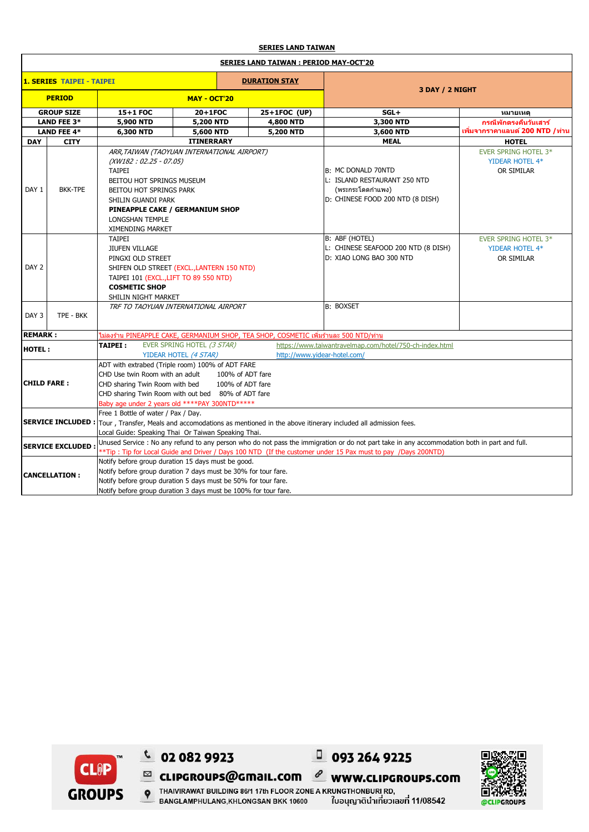## **SERIES LAND TAIWAN**

| <b>SERIES LAND TAIWAN: PERIOD MAY-OCT'20</b>             |                    |                                                                                                                                                                                                                                                                        |                   |              |                                                                                                            |                                                              |  |  |  |
|----------------------------------------------------------|--------------------|------------------------------------------------------------------------------------------------------------------------------------------------------------------------------------------------------------------------------------------------------------------------|-------------------|--------------|------------------------------------------------------------------------------------------------------------|--------------------------------------------------------------|--|--|--|
| <b>1. SERIES TAIPEI - TAIPEI</b><br><b>DURATION STAY</b> |                    |                                                                                                                                                                                                                                                                        |                   |              |                                                                                                            |                                                              |  |  |  |
| <b>PERIOD</b>                                            |                    | <b>MAY - OCT'20</b>                                                                                                                                                                                                                                                    |                   |              | 3 DAY / 2 NIGHT                                                                                            |                                                              |  |  |  |
| <b>GROUP SIZE</b>                                        |                    | 15+1 FOC                                                                                                                                                                                                                                                               | 20+1FOC           | 25+1FOC (UP) | $SGL+$                                                                                                     | หมายเหต                                                      |  |  |  |
| LAND FEE 3*                                              |                    | 5,900 NTD                                                                                                                                                                                                                                                              | 5,200 NTD         | 4,800 NTD    | 3,300 NTD                                                                                                  | ีกรณีพักตรงคืนวันเสาร์                                       |  |  |  |
|                                                          | <b>LAND FEE 4*</b> | 6,300 NTD<br>5,600 NTD                                                                                                                                                                                                                                                 |                   | 5,200 NTD    | 3,600 NTD                                                                                                  | ูเพิ่มจากราคาแลนด์ 200 NTD /ท่าน                             |  |  |  |
| <b>DAY</b>                                               | <b>CITY</b>        |                                                                                                                                                                                                                                                                        | <b>ITINERRARY</b> |              | <b>MEAL</b>                                                                                                | <b>HOTEL</b>                                                 |  |  |  |
| DAY 1                                                    | <b>BKK-TPE</b>     | ARR, TAIWAN (TAOYUAN INTERNATIONAL AIRPORT)<br>$(XW182: 02.25 - 07.05)$<br><b>TAIPEI</b><br><b>BEITOU HOT SPRINGS MUSEUM</b><br><b>BEITOU HOT SPRINGS PARK</b><br>SHILIN GUANDI PARK<br>PINEAPPLE CAKE / GERMANIUM SHOP<br><b>LONGSHAN TEMPLE</b>                      |                   |              | B: MC DONALD 70NTD<br>L: ISLAND RESTAURANT 250 NTD<br>(พระกระโดดกำแพง)<br>D: CHINESE FOOD 200 NTD (8 DISH) | EVER SPRING HOTEL 3*<br>YIDEAR HOTEL 4*<br>OR SIMILAR        |  |  |  |
| DAY <sub>2</sub>                                         |                    | XIMENDING MARKET<br><b>TAIPEI</b><br><b>JIUFEN VILLAGE</b><br>PINGXI OLD STREET<br>SHIFEN OLD STREET (EXCL., LANTERN 150 NTD)<br>TAIPEI 101 (EXCL., LIFT TO 89 550 NTD)<br><b>COSMETIC SHOP</b><br>SHILIN NIGHT MARKET                                                 |                   |              | B: ABF (HOTEL)<br>L: CHINESE SEAFOOD 200 NTD (8 DISH)<br>D: XIAO LONG BAO 300 NTD                          | <b>EVER SPRING HOTEL 3*</b><br>YIDEAR HOTEL 4*<br>OR SIMILAR |  |  |  |
| DAY <sub>3</sub>                                         | TPE - BKK          | TRF TO TAOYUAN INTERNATIONAL AIRPORT                                                                                                                                                                                                                                   |                   |              | <b>B: BOXSET</b>                                                                                           |                                                              |  |  |  |
| <b>REMARK:</b>                                           |                    | ไม่ลงร้าน PINEAPPLE CAKE, GERMANIUM SHOP, TEA SHOP, COSMETIC เพิ่มร้านละ 500 NTD/ท่าน                                                                                                                                                                                  |                   |              |                                                                                                            |                                                              |  |  |  |
| <b>HOTEL:</b>                                            |                    | EVER SPRING HOTEL (3 STAR)<br>TAIPEI:<br>https://www.taiwantravelmap.com/hotel/750-ch-index.html                                                                                                                                                                       |                   |              |                                                                                                            |                                                              |  |  |  |
|                                                          |                    | YIDEAR HOTEL (4 STAR)<br>http://www.videar-hotel.com/                                                                                                                                                                                                                  |                   |              |                                                                                                            |                                                              |  |  |  |
| <b>CHILD FARE:</b>                                       |                    | ADT with extrabed (Triple room) 100% of ADT FARE<br>CHD Use twin Room with an adult<br>100% of ADT fare<br>CHD sharing Twin Room with bed<br>100% of ADT fare<br>CHD sharing Twin Room with out bed 80% of ADT fare<br>Baby age under 2 years old ****PAY 300NTD****** |                   |              |                                                                                                            |                                                              |  |  |  |
|                                                          |                    | Free 1 Bottle of water / Pax / Day.<br>SERVICE INCLUDED: Tour, Transfer, Meals and accomodations as mentioned in the above itinerary included all admission fees.<br>Local Guide: Speaking Thai Or Taiwan Speaking Thai.                                               |                   |              |                                                                                                            |                                                              |  |  |  |
| <b>SERVICE EXCLUDED:</b>                                 |                    | Unused Service : No any refund to any person who do not pass the immigration or do not part take in any accommodation both in part and full.<br>** Tip: Tip for Local Guide and Driver / Days 100 NTD (If the customer under 15 Pax must to pay /Days 200NTD)          |                   |              |                                                                                                            |                                                              |  |  |  |
| <b>CANCELLATION:</b>                                     |                    | Notify before group duration 15 days must be good.<br>Notify before group duration 7 days must be 30% for tour fare.<br>Notify before group duration 5 days must be 50% for tour fare.<br>Notify before group duration 3 days must be 100% for tour fare.              |                   |              |                                                                                                            |                                                              |  |  |  |



 $C$  02 082 9923

 $\equiv$  <code>cLIPGROUPS@GmaIL.com</code>



 $\ell$  www.clipgroups.com **P** THAIN RAW BUILDING 86/1 17th FLOOR ZONE A KRUNGTHOMBURIRD. ใบอนุญาตินำเที่ยวเลขที่ 11/08542 BANGLAMPHULANG, KHLONGSAN BKK 10600

 $0932649225$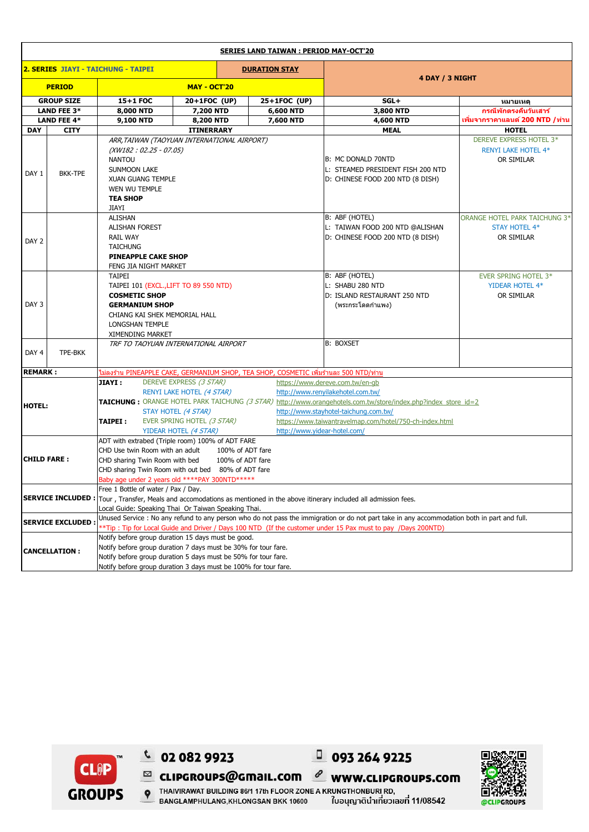| <b>SERIES LAND TAIWAN: PERIOD MAY-OCT'20</b>                                                                   |                    |                                                                                                                                              |                                                  |              |                                                                                                                |                                          |  |  |  |
|----------------------------------------------------------------------------------------------------------------|--------------------|----------------------------------------------------------------------------------------------------------------------------------------------|--------------------------------------------------|--------------|----------------------------------------------------------------------------------------------------------------|------------------------------------------|--|--|--|
| 2. SERIES JIAYI - TAICHUNG - TAIPEI<br><b>DURATION STAY</b>                                                    |                    |                                                                                                                                              |                                                  |              |                                                                                                                |                                          |  |  |  |
| <b>PERIOD</b>                                                                                                  |                    | <b>MAY - OCT'20</b>                                                                                                                          |                                                  |              | 4 DAY / 3 NIGHT                                                                                                |                                          |  |  |  |
|                                                                                                                | <b>GROUP SIZE</b>  | 15+1 FOC                                                                                                                                     | 20+1FOC (UP)                                     | 25+1FOC (UP) | $SGL+$                                                                                                         | หมายเหตุ                                 |  |  |  |
| LAND FEE 3*                                                                                                    |                    | 8,000 NTD                                                                                                                                    | 7,200 NTD                                        | 6,600 NTD    | 3,800 NTD                                                                                                      | กรณีพักตรงดื่นวันเสาร์                   |  |  |  |
|                                                                                                                | <b>LAND FEE 4*</b> | <b>9,100 NTD</b>                                                                                                                             | 8,200 NTD                                        | 7,600 NTD    | 4,600 NTD                                                                                                      | ูเพิ่มจากราคาแลนด์ 200 NTD <i> </i> ท่าน |  |  |  |
| <b>DAY</b>                                                                                                     | <b>CITY</b>        |                                                                                                                                              | <b>ITINERRARY</b>                                |              | <b>MEAL</b>                                                                                                    | <b>HOTEL</b>                             |  |  |  |
|                                                                                                                |                    | ARR, TAIWAN (TAOYUAN INTERNATIONAL AIRPORT)<br>$(XW182: 02.25 - 07.05)$                                                                      |                                                  |              |                                                                                                                | DEREVE EXPRESS HOTEL 3*                  |  |  |  |
|                                                                                                                | <b>BKK-TPE</b>     |                                                                                                                                              |                                                  |              |                                                                                                                | <b>RENYI LAKE HOTEL 4*</b>               |  |  |  |
|                                                                                                                |                    | <b>NANTOU</b>                                                                                                                                |                                                  |              | B: MC DONALD 70NTD                                                                                             | OR SIMILAR                               |  |  |  |
| DAY 1                                                                                                          |                    | <b>SUNMOON LAKE</b>                                                                                                                          |                                                  |              | L: STEAMED PRESIDENT FISH 200 NTD                                                                              |                                          |  |  |  |
|                                                                                                                |                    | <b>XUAN GUANG TEMPLE</b>                                                                                                                     |                                                  |              | D: CHINESE FOOD 200 NTD (8 DISH)                                                                               |                                          |  |  |  |
|                                                                                                                |                    | WEN WU TEMPLE                                                                                                                                |                                                  |              |                                                                                                                |                                          |  |  |  |
|                                                                                                                |                    | <b>TEA SHOP</b>                                                                                                                              |                                                  |              |                                                                                                                |                                          |  |  |  |
|                                                                                                                |                    | JIAYI                                                                                                                                        |                                                  |              |                                                                                                                |                                          |  |  |  |
|                                                                                                                |                    | ALISHAN                                                                                                                                      |                                                  |              | B: ABF (HOTEL)                                                                                                 | ORANGE HOTEL PARK TAICHUNG 3*            |  |  |  |
|                                                                                                                |                    | <b>ALISHAN FOREST</b>                                                                                                                        |                                                  |              | L: TAIWAN FOOD 200 NTD @ALISHAN                                                                                | <b>STAY HOTEL 4*</b>                     |  |  |  |
| DAY 2                                                                                                          |                    | <b>RAIL WAY</b>                                                                                                                              |                                                  |              | D: CHINESE FOOD 200 NTD (8 DISH)                                                                               | OR SIMILAR                               |  |  |  |
|                                                                                                                |                    | <b>TAICHUNG</b>                                                                                                                              |                                                  |              |                                                                                                                |                                          |  |  |  |
|                                                                                                                |                    | <b>PINEAPPLE CAKE SHOP</b>                                                                                                                   |                                                  |              |                                                                                                                |                                          |  |  |  |
|                                                                                                                |                    | FENG JIA NIGHT MARKET                                                                                                                        |                                                  |              |                                                                                                                |                                          |  |  |  |
|                                                                                                                |                    | <b>TAIPEI</b>                                                                                                                                |                                                  |              | B: ABF (HOTEL)                                                                                                 | <b>EVER SPRING HOTEL 3*</b>              |  |  |  |
|                                                                                                                |                    | TAIPEI 101 (EXCL., LIFT TO 89 550 NTD)                                                                                                       |                                                  |              | L: SHABU 280 NTD                                                                                               | YIDEAR HOTEL 4*                          |  |  |  |
|                                                                                                                |                    | <b>COSMETIC SHOP</b>                                                                                                                         |                                                  |              | D: ISLAND RESTAURANT 250 NTD                                                                                   | OR SIMILAR                               |  |  |  |
| DAY 3                                                                                                          |                    | <b>GERMANIUM SHOP</b><br>CHIANG KAI SHEK MEMORIAL HALL<br>LONGSHAN TEMPLE                                                                    |                                                  |              | (พระกระโดดกำแพง)                                                                                               |                                          |  |  |  |
|                                                                                                                |                    |                                                                                                                                              |                                                  |              |                                                                                                                |                                          |  |  |  |
|                                                                                                                |                    |                                                                                                                                              |                                                  |              |                                                                                                                |                                          |  |  |  |
|                                                                                                                |                    | XIMENDING MARKET                                                                                                                             |                                                  |              |                                                                                                                |                                          |  |  |  |
|                                                                                                                |                    | TRF TO TAOYUAN INTERNATIONAL AIRPORT                                                                                                         |                                                  |              | <b>B: BOXSET</b>                                                                                               |                                          |  |  |  |
| DAY 4                                                                                                          | TPE-BKK            |                                                                                                                                              |                                                  |              |                                                                                                                |                                          |  |  |  |
| <b>REMARK:</b><br><u>ไม่ลงร้าน PINEAPPLE CAKE, GERMANIUM SHOP, TEA SHOP, COSMETIC เพิ่มร้านละ 500 NTD/ท่าน</u> |                    |                                                                                                                                              |                                                  |              |                                                                                                                |                                          |  |  |  |
|                                                                                                                |                    | <b>JIAYI:</b>                                                                                                                                | DEREVE EXPRESS (3 STAR)                          |              | https://www.dereve.com.tw/en-gb                                                                                |                                          |  |  |  |
|                                                                                                                |                    | RENYI LAKE HOTEL (4 STAR)                                                                                                                    |                                                  |              | http://www.renyilakehotel.com.tw/                                                                              |                                          |  |  |  |
|                                                                                                                |                    |                                                                                                                                              |                                                  |              | TAICHUNG : ORANGE HOTEL PARK TAICHUNG (3 STAR) http://www.orangehotels.com.tw/store/index.php?index_store_id=2 |                                          |  |  |  |
| <b>HOTEL:</b>                                                                                                  |                    | STAY HOTEL (4 STAR)                                                                                                                          |                                                  |              | http://www.stayhotel-taichung.com.tw/                                                                          |                                          |  |  |  |
|                                                                                                                |                    | <b>TAIPEI :</b>                                                                                                                              | EVER SPRING HOTEL (3 STAR)                       |              | https://www.taiwantravelmap.com/hotel/750-ch-index.html                                                        |                                          |  |  |  |
|                                                                                                                |                    | YIDEAR HOTEL (4 STAR)                                                                                                                        |                                                  |              | http://www.yidear-hotel.com/                                                                                   |                                          |  |  |  |
|                                                                                                                |                    |                                                                                                                                              | ADT with extrabed (Triple room) 100% of ADT FARE |              |                                                                                                                |                                          |  |  |  |
|                                                                                                                |                    | CHD Use twin Room with an adult<br>100% of ADT fare                                                                                          |                                                  |              |                                                                                                                |                                          |  |  |  |
| <b>CHILD FARE:</b>                                                                                             |                    | CHD sharing Twin Room with bed<br>100% of ADT fare                                                                                           |                                                  |              |                                                                                                                |                                          |  |  |  |
|                                                                                                                |                    | CHD sharing Twin Room with out bed 80% of ADT fare                                                                                           |                                                  |              |                                                                                                                |                                          |  |  |  |
|                                                                                                                |                    | Baby age under 2 years old ****PAY 300NTD******                                                                                              |                                                  |              |                                                                                                                |                                          |  |  |  |
| <b>SERVICE INCLUDED:</b>                                                                                       |                    | Free 1 Bottle of water / Pax / Day.                                                                                                          |                                                  |              |                                                                                                                |                                          |  |  |  |
|                                                                                                                |                    | Tour, Transfer, Meals and accomodations as mentioned in the above itinerary included all admission fees.                                     |                                                  |              |                                                                                                                |                                          |  |  |  |
|                                                                                                                |                    | Local Guide: Speaking Thai Or Taiwan Speaking Thai.                                                                                          |                                                  |              |                                                                                                                |                                          |  |  |  |
| <b>SERVICE EXCLUDED:</b>                                                                                       |                    | Unused Service : No any refund to any person who do not pass the immigration or do not part take in any accommodation both in part and full. |                                                  |              |                                                                                                                |                                          |  |  |  |
|                                                                                                                |                    | **Tip: Tip for Local Guide and Driver / Days 100 NTD (If the customer under 15 Pax must to pay /Days 200NTD)                                 |                                                  |              |                                                                                                                |                                          |  |  |  |
| <b>CANCELLATION:</b>                                                                                           |                    | Notify before group duration 15 days must be good.                                                                                           |                                                  |              |                                                                                                                |                                          |  |  |  |
|                                                                                                                |                    | Notify before group duration 7 days must be 30% for tour fare.                                                                               |                                                  |              |                                                                                                                |                                          |  |  |  |
|                                                                                                                |                    | Notify before group duration 5 days must be 50% for tour fare.                                                                               |                                                  |              |                                                                                                                |                                          |  |  |  |
|                                                                                                                |                    | Notify before group duration 3 days must be 100% for tour fare.                                                                              |                                                  |              |                                                                                                                |                                          |  |  |  |



 $C$  02 082 9923

 $0932649225$  $\ell$  www.clipgroups.com  $\blacksquare$  CLIPGROUPS@GMaIL.COM



P THAIVIRAWAT BUILDING 86/1 17th FLOOR ZONE A KRUNGTHONBURI RD, BANGLAMPHULANG, KHLONGSAN BKK 10600 ใบอนุญาตินำเที่ยวเลขที่ 11/08542